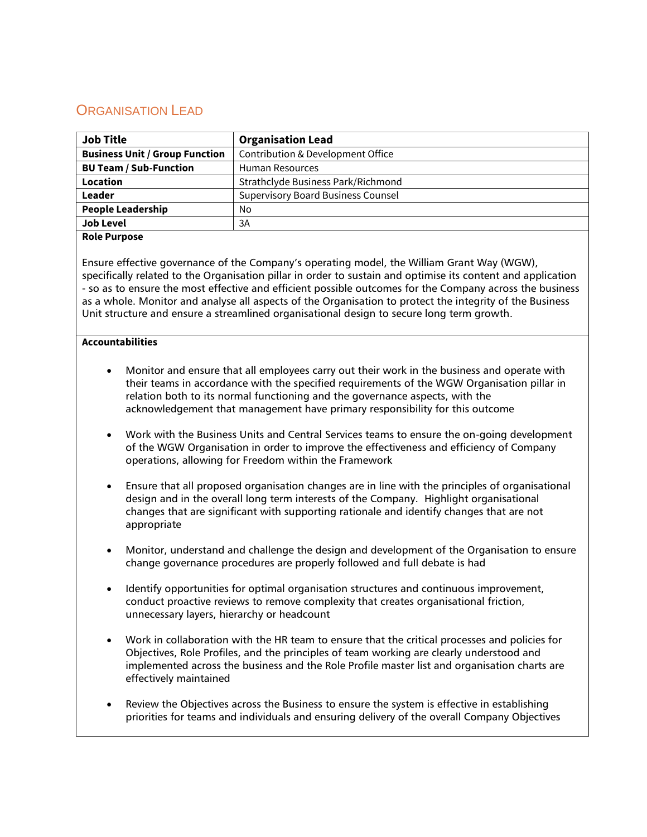## ORGANISATION LEAD

| <b>Job Title</b>                      | <b>Organisation Lead</b>                  |  |
|---------------------------------------|-------------------------------------------|--|
| <b>Business Unit / Group Function</b> | Contribution & Development Office         |  |
| <b>BU Team / Sub-Function</b>         | Human Resources                           |  |
| Location                              | Strathclyde Business Park/Richmond        |  |
| Leader                                | <b>Supervisory Board Business Counsel</b> |  |
| <b>People Leadership</b>              | No                                        |  |
| <b>Job Level</b>                      | 3A                                        |  |

## **Role Purpose**

Ensure effective governance of the Company's operating model, the William Grant Way (WGW), specifically related to the Organisation pillar in order to sustain and optimise its content and application - so as to ensure the most effective and efficient possible outcomes for the Company across the business as a whole. Monitor and analyse all aspects of the Organisation to protect the integrity of the Business Unit structure and ensure a streamlined organisational design to secure long term growth.

## **Accountabilities**

- Monitor and ensure that all employees carry out their work in the business and operate with their teams in accordance with the specified requirements of the WGW Organisation pillar in relation both to its normal functioning and the governance aspects, with the acknowledgement that management have primary responsibility for this outcome
- Work with the Business Units and Central Services teams to ensure the on-going development of the WGW Organisation in order to improve the effectiveness and efficiency of Company operations, allowing for Freedom within the Framework
- Ensure that all proposed organisation changes are in line with the principles of organisational design and in the overall long term interests of the Company. Highlight organisational changes that are significant with supporting rationale and identify changes that are not appropriate
- Monitor, understand and challenge the design and development of the Organisation to ensure change governance procedures are properly followed and full debate is had
- Identify opportunities for optimal organisation structures and continuous improvement, conduct proactive reviews to remove complexity that creates organisational friction, unnecessary layers, hierarchy or headcount
- Work in collaboration with the HR team to ensure that the critical processes and policies for Objectives, Role Profiles, and the principles of team working are clearly understood and implemented across the business and the Role Profile master list and organisation charts are effectively maintained
- Review the Objectives across the Business to ensure the system is effective in establishing priorities for teams and individuals and ensuring delivery of the overall Company Objectives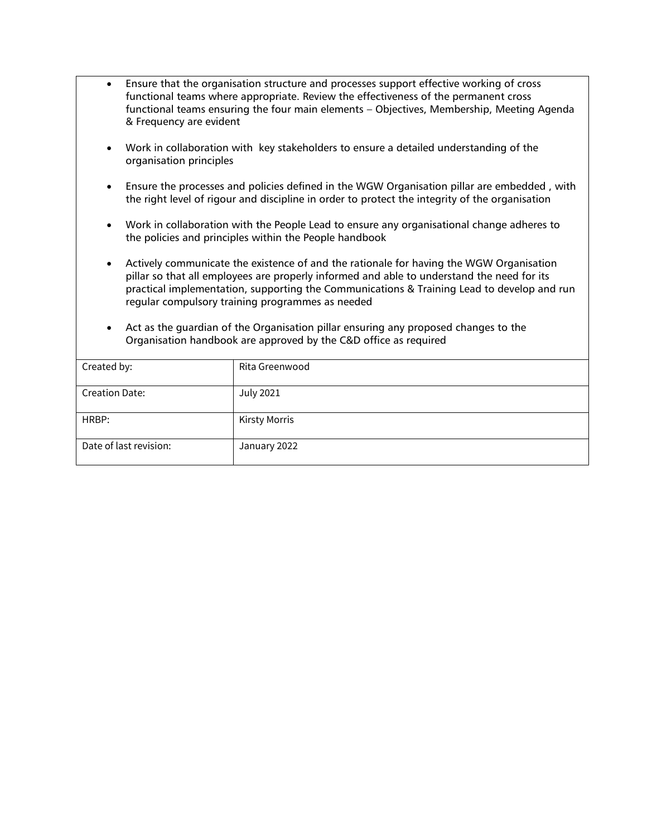- Ensure that the organisation structure and processes support effective working of cross functional teams where appropriate. Review the effectiveness of the permanent cross functional teams ensuring the four main elements – Objectives, Membership, Meeting Agenda & Frequency are evident
- Work in collaboration with key stakeholders to ensure a detailed understanding of the organisation principles
- Ensure the processes and policies defined in the WGW Organisation pillar are embedded , with the right level of rigour and discipline in order to protect the integrity of the organisation
- Work in collaboration with the People Lead to ensure any organisational change adheres to the policies and principles within the People handbook
- Actively communicate the existence of and the rationale for having the WGW Organisation pillar so that all employees are properly informed and able to understand the need for its practical implementation, supporting the Communications & Training Lead to develop and run regular compulsory training programmes as needed
- Act as the guardian of the Organisation pillar ensuring any proposed changes to the Organisation handbook are approved by the C&D office as required

| Created by:            | Rita Greenwood       |
|------------------------|----------------------|
| <b>Creation Date:</b>  | <b>July 2021</b>     |
| HRBP:                  | <b>Kirsty Morris</b> |
| Date of last revision: | January 2022         |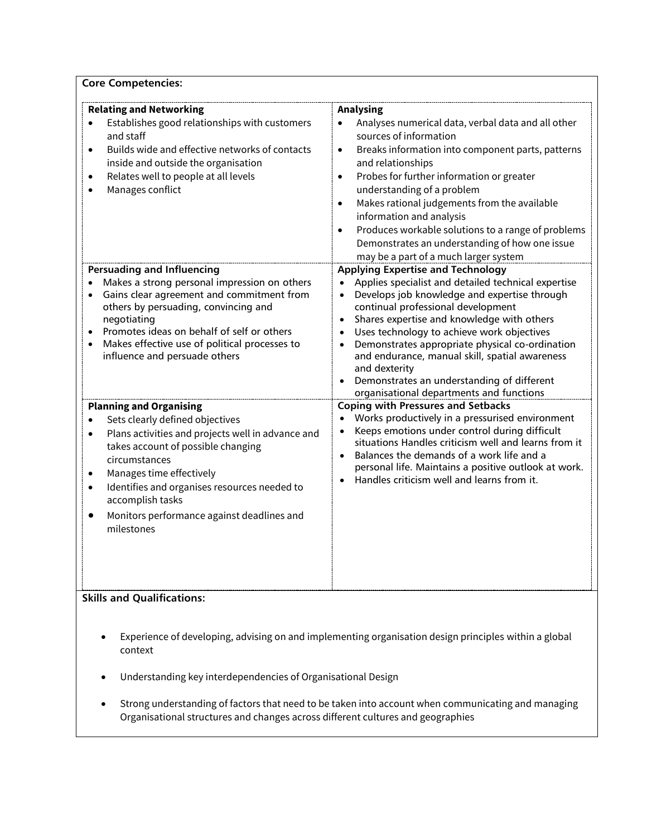| <b>Core Competencies:</b>                                                                                                                                                                                                                                                                                                                       |                                                                                                                                                                                                                                                                                                                                                                                                                                                                                                                                                     |  |  |
|-------------------------------------------------------------------------------------------------------------------------------------------------------------------------------------------------------------------------------------------------------------------------------------------------------------------------------------------------|-----------------------------------------------------------------------------------------------------------------------------------------------------------------------------------------------------------------------------------------------------------------------------------------------------------------------------------------------------------------------------------------------------------------------------------------------------------------------------------------------------------------------------------------------------|--|--|
| <b>Relating and Networking</b><br>Establishes good relationships with customers<br>and staff<br>Builds wide and effective networks of contacts<br>$\bullet$<br>inside and outside the organisation<br>Relates well to people at all levels<br>Manages conflict                                                                                  | <b>Analysing</b><br>Analyses numerical data, verbal data and all other<br>$\bullet$<br>sources of information<br>Breaks information into component parts, patterns<br>$\bullet$<br>and relationships<br>Probes for further information or greater<br>$\bullet$<br>understanding of a problem<br>Makes rational judgements from the available<br>$\bullet$<br>information and analysis<br>Produces workable solutions to a range of problems<br>$\bullet$<br>Demonstrates an understanding of how one issue<br>may be a part of a much larger system |  |  |
| <b>Persuading and Influencing</b><br>Makes a strong personal impression on others<br>Gains clear agreement and commitment from<br>others by persuading, convincing and<br>negotiating<br>Promotes ideas on behalf of self or others<br>$\bullet$<br>Makes effective use of political processes to<br>$\bullet$<br>influence and persuade others | <b>Applying Expertise and Technology</b><br>Applies specialist and detailed technical expertise<br>Develops job knowledge and expertise through<br>$\bullet$<br>continual professional development<br>Shares expertise and knowledge with others<br>Uses technology to achieve work objectives<br>$\bullet$<br>Demonstrates appropriate physical co-ordination<br>$\bullet$<br>and endurance, manual skill, spatial awareness<br>and dexterity<br>Demonstrates an understanding of different<br>organisational departments and functions            |  |  |
| <b>Planning and Organising</b><br>Sets clearly defined objectives<br>Plans activities and projects well in advance and<br>takes account of possible changing<br>circumstances<br>Manages time effectively<br>Identifies and organises resources needed to<br>accomplish tasks<br>Monitors performance against deadlines and<br>milestones       | <b>Coping with Pressures and Setbacks</b><br>Works productively in a pressurised environment<br>Keeps emotions under control during difficult<br>situations Handles criticism well and learns from it<br>Balances the demands of a work life and a<br>personal life. Maintains a positive outlook at work.<br>Handles criticism well and learns from it.                                                                                                                                                                                            |  |  |
| <b>Skills and Qualifications:</b><br>Experience of developing, advising on and implementing organisation design principles within a global                                                                                                                                                                                                      |                                                                                                                                                                                                                                                                                                                                                                                                                                                                                                                                                     |  |  |
| context                                                                                                                                                                                                                                                                                                                                         |                                                                                                                                                                                                                                                                                                                                                                                                                                                                                                                                                     |  |  |

- Understanding key interdependencies of Organisational Design
- Strong understanding of factors that need to be taken into account when communicating and managing Organisational structures and changes across different cultures and geographies